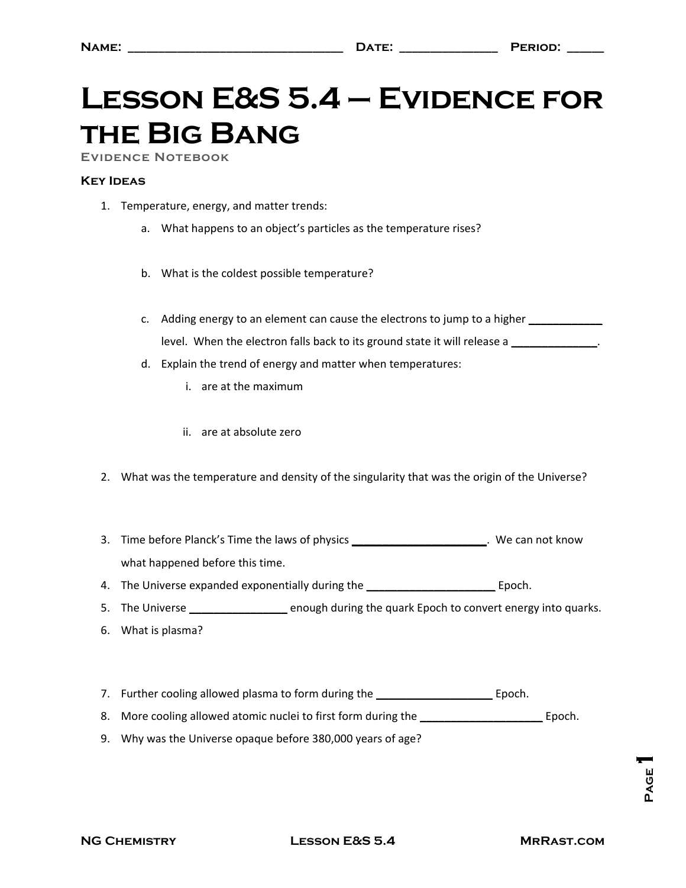## **Lesson E&S 5.4 – Evidence for the Big Bang**

**Evidence Notebook** 

## **Key Ideas**

- 1. Temperature, energy, and matter trends:
	- a. What happens to an object's particles as the temperature rises?
	- b. What is the coldest possible temperature?
	- c. Adding energy to an element can cause the electrons to jump to a higher **\_\_\_\_\_\_\_\_\_\_\_\_** level. When the electron falls back to its ground state it will release a **\_\_\_\_\_\_\_\_\_\_\_\_\_\_**.
	- d. Explain the trend of energy and matter when temperatures:
		- i. are at the maximum
		- ii. are at absolute zero
- 2. What was the temperature and density of the singularity that was the origin of the Universe?
- 3. Time before Planck's Time the laws of physics **\_\_\_\_\_\_\_\_\_\_\_\_\_\_\_\_\_\_\_\_\_\_**. We can not know what happened before this time.
- 4. The Universe expanded exponentially during the **\_\_\_\_\_\_\_\_\_\_\_\_\_\_\_\_\_\_\_\_\_** Epoch.
- 5. The Universe **\_\_\_\_\_\_\_\_\_\_\_\_\_\_\_\_** enough during the quark Epoch to convert energy into quarks.
- 6. What is plasma?
- 7. Further cooling allowed plasma to form during the **\_\_\_\_\_\_\_\_\_\_\_\_\_\_\_\_\_\_\_** Epoch.
- 8. More cooling allowed atomic nuclei to first form during the **\_\_\_\_\_\_\_\_\_\_\_\_\_\_\_\_\_\_\_\_** Epoch.
- 9. Why was the Universe opaque before 380,000 years of age?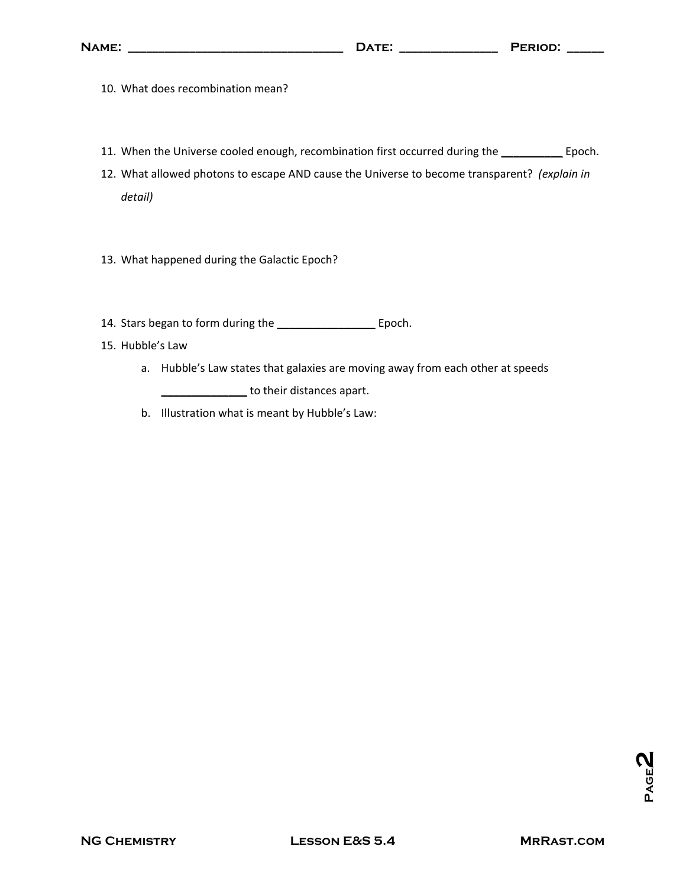- 10. What does recombination mean?
- 11. When the Universe cooled enough, recombination first occurred during the **\_\_\_\_\_\_\_\_\_\_** Epoch.
- 12. What allowed photons to escape AND cause the Universe to become transparent? *(explain in detail)*
- 13. What happened during the Galactic Epoch?
- 14. Stars began to form during the **\_\_\_\_\_\_\_\_\_\_\_\_\_\_\_\_** Epoch.
- 15. Hubble's Law
	- a. Hubble's Law states that galaxies are moving away from each other at speeds **\_\_\_\_\_\_\_\_\_\_\_\_\_\_** to their distances apart.
	- b. Illustration what is meant by Hubble's Law: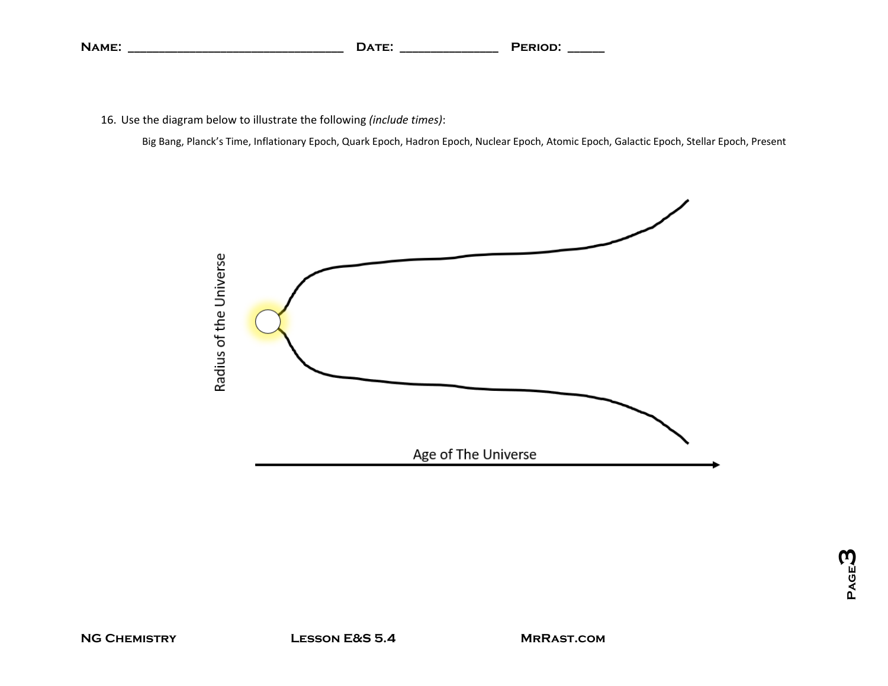| NAME: | $\overline{\Delta} \overline{\bf T} \overline{\bf F}^*$<br>JА.<br>.<br>____ | PERIOD: |
|-------|-----------------------------------------------------------------------------|---------|
|-------|-----------------------------------------------------------------------------|---------|

16. Use the diagram below to illustrate the following *(include times)*:

Big Bang, Planck's Time, Inflationary Epoch, Quark Epoch, Hadron Epoch, Nuclear Epoch, Atomic Epoch, Galactic Epoch, Stellar Epoch, Present

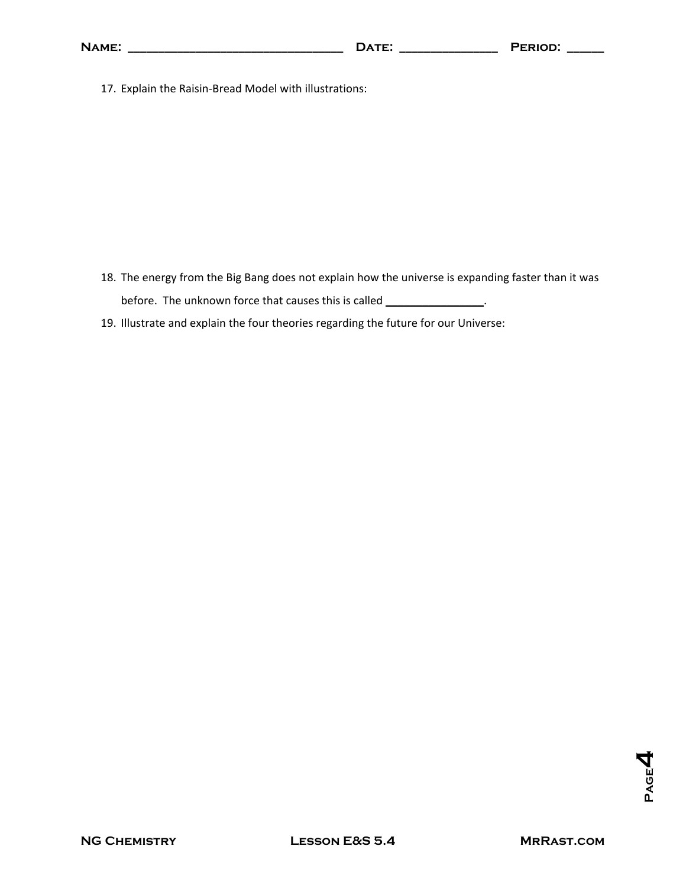| <b>NAME:</b>                                           | DATE:<br><u> 1980 - Jan Barbarat, politik politik (</u> | PERIOD: |  |  |
|--------------------------------------------------------|---------------------------------------------------------|---------|--|--|
| 17. Explain the Raisin-Bread Model with illustrations: |                                                         |         |  |  |
|                                                        |                                                         |         |  |  |

- 18. The energy from the Big Bang does not explain how the universe is expanding faster than it was before. The unknown force that causes this is called **\_\_\_\_\_\_\_\_\_\_\_\_\_\_\_\_**.
- 19. Illustrate and explain the four theories regarding the future for our Universe: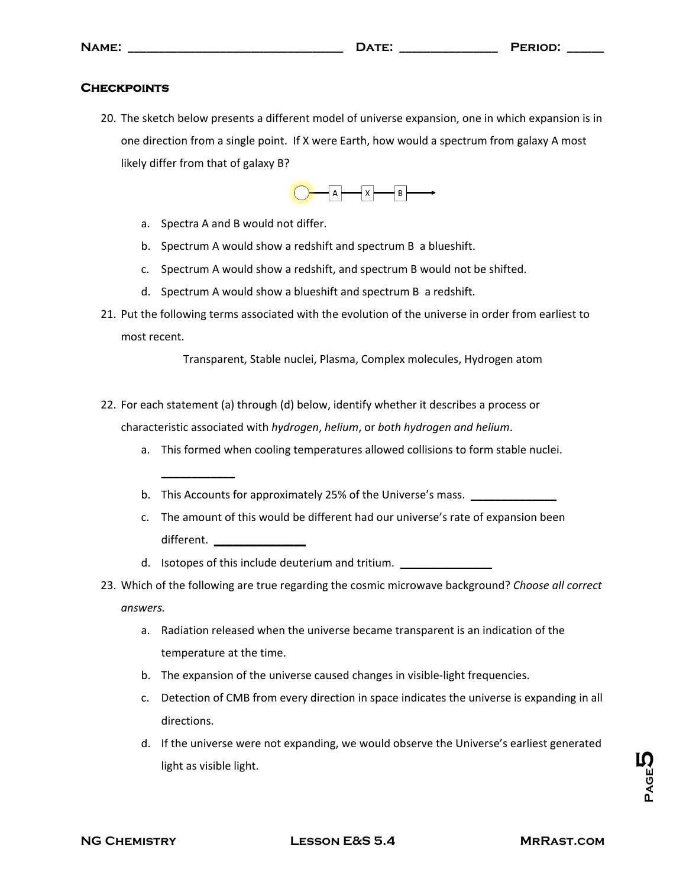## **Checkpoints**

20. The sketch below presents a different model of universe expansion, one in which expansion is in one direction from a single point. If X were Earth, how would a spectrum from galaxy A most likely differ from that of galaxy B?



a. Spectra A and B would not differ.

**\_\_\_\_\_\_\_\_\_\_\_\_**

- b. Spectrum A would show a redshift and spectrum B a blueshift.
- c. Spectrum A would show a redshift, and spectrum B would not be shifted.
- d. Spectrum A would show a blueshift and spectrum B a redshift.
- 21. Put the following terms associated with the evolution of the universe in order from earliest to most recent.

Transparent, Stable nuclei, Plasma, Complex molecules, Hydrogen atom

- 22. For each statement (a) through (d) below, identify whether it describes a process or characteristic associated with *hydrogen*, *helium*, or *both hydrogen and helium*.
	- a. This formed when cooling temperatures allowed collisions to form stable nuclei.
	- b. This Accounts for approximately 25% of the Universe's mass. **\_\_\_\_\_\_\_\_\_\_\_\_\_\_**
	- c. The amount of this would be different had our universe's rate of expansion been different.
	- d. Isotopes of this include deuterium and tritium.
- 23. Which of the following are true regarding the cosmic microwave background? *Choose all correct answers.*
	- a. Radiation released when the universe became transparent is an indication of the temperature at the time.
	- b. The expansion of the universe caused changes in visible‐light frequencies.
	- c. Detection of CMB from every direction in space indicates the universe is expanding in all directions.
	- d. If the universe were not expanding, we would observe the Universe's earliest generated light as visible light.

**PAGE<sup>5</sup>**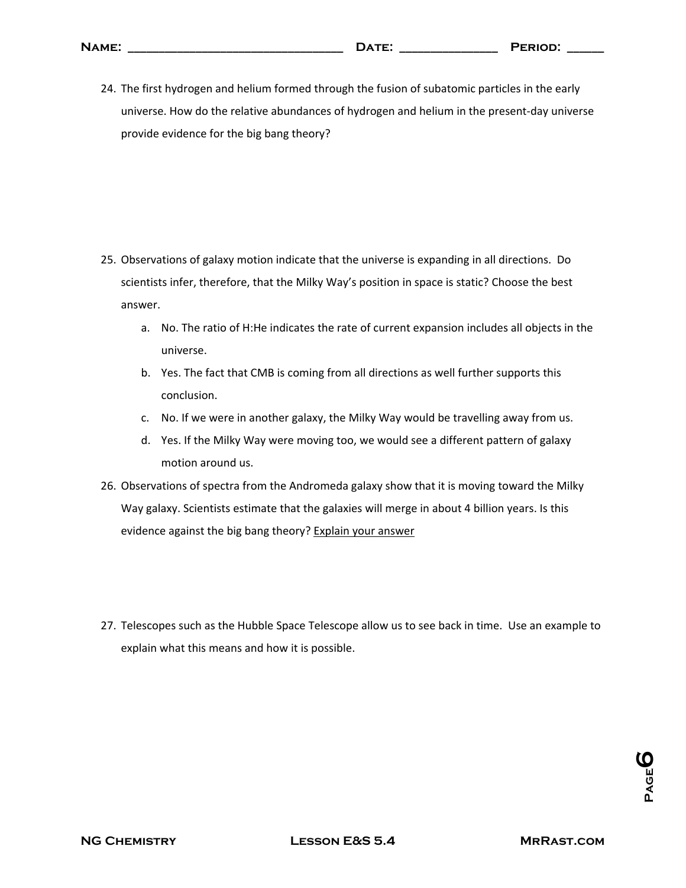| NAME: | $- - -$<br>.<br>and the state of the state of the state of the state of the state of the state of the state of the state of the | PFRIOD' |
|-------|---------------------------------------------------------------------------------------------------------------------------------|---------|
|       |                                                                                                                                 |         |

24. The first hydrogen and helium formed through the fusion of subatomic particles in the early universe. How do the relative abundances of hydrogen and helium in the present-day universe provide evidence for the big bang theory?

- 25. Observations of galaxy motion indicate that the universe is expanding in all directions. Do scientists infer, therefore, that the Milky Way's position in space is static? Choose the best answer.
	- a. No. The ratio of H:He indicates the rate of current expansion includes all objects in the universe.
	- b. Yes. The fact that CMB is coming from all directions as well further supports this conclusion.
	- c. No. If we were in another galaxy, the Milky Way would be travelling away from us.
	- d. Yes. If the Milky Way were moving too, we would see a different pattern of galaxy motion around us.
- 26. Observations of spectra from the Andromeda galaxy show that it is moving toward the Milky Way galaxy. Scientists estimate that the galaxies will merge in about 4 billion years. Is this evidence against the big bang theory? Explain your answer
- 27. Telescopes such as the Hubble Space Telescope allow us to see back in time. Use an example to explain what this means and how it is possible.

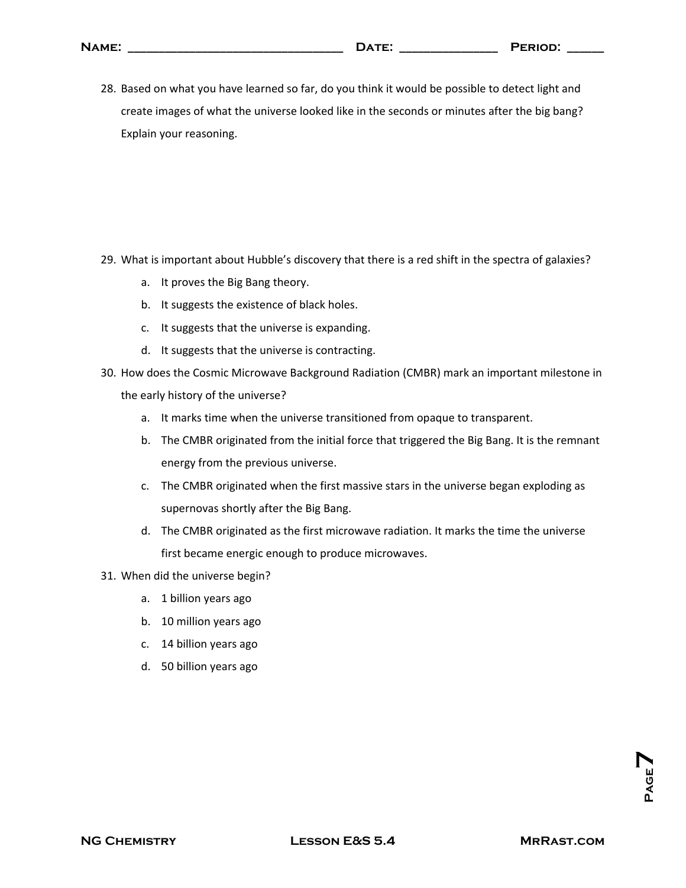| NAME: |                                                                                                                      | ּחמוּם אַ |
|-------|----------------------------------------------------------------------------------------------------------------------|-----------|
|       | .<br>the contract of the contract of the contract of the contract of the contract of the contract of the contract of |           |

28. Based on what you have learned so far, do you think it would be possible to detect light and create images of what the universe looked like in the seconds or minutes after the big bang? Explain your reasoning.

- 29. What is important about Hubble's discovery that there is a red shift in the spectra of galaxies?
	- a. It proves the Big Bang theory.
	- b. It suggests the existence of black holes.
	- c. It suggests that the universe is expanding.
	- d. It suggests that the universe is contracting.
- 30. How does the Cosmic Microwave Background Radiation (CMBR) mark an important milestone in the early history of the universe?
	- a. It marks time when the universe transitioned from opaque to transparent.
	- b. The CMBR originated from the initial force that triggered the Big Bang. It is the remnant energy from the previous universe.
	- c. The CMBR originated when the first massive stars in the universe began exploding as supernovas shortly after the Big Bang.
	- d. The CMBR originated as the first microwave radiation. It marks the time the universe first became energic enough to produce microwaves.
- 31. When did the universe begin?
	- a. 1 billion years ago
	- b. 10 million years ago
	- c. 14 billion years ago
	- d. 50 billion years ago